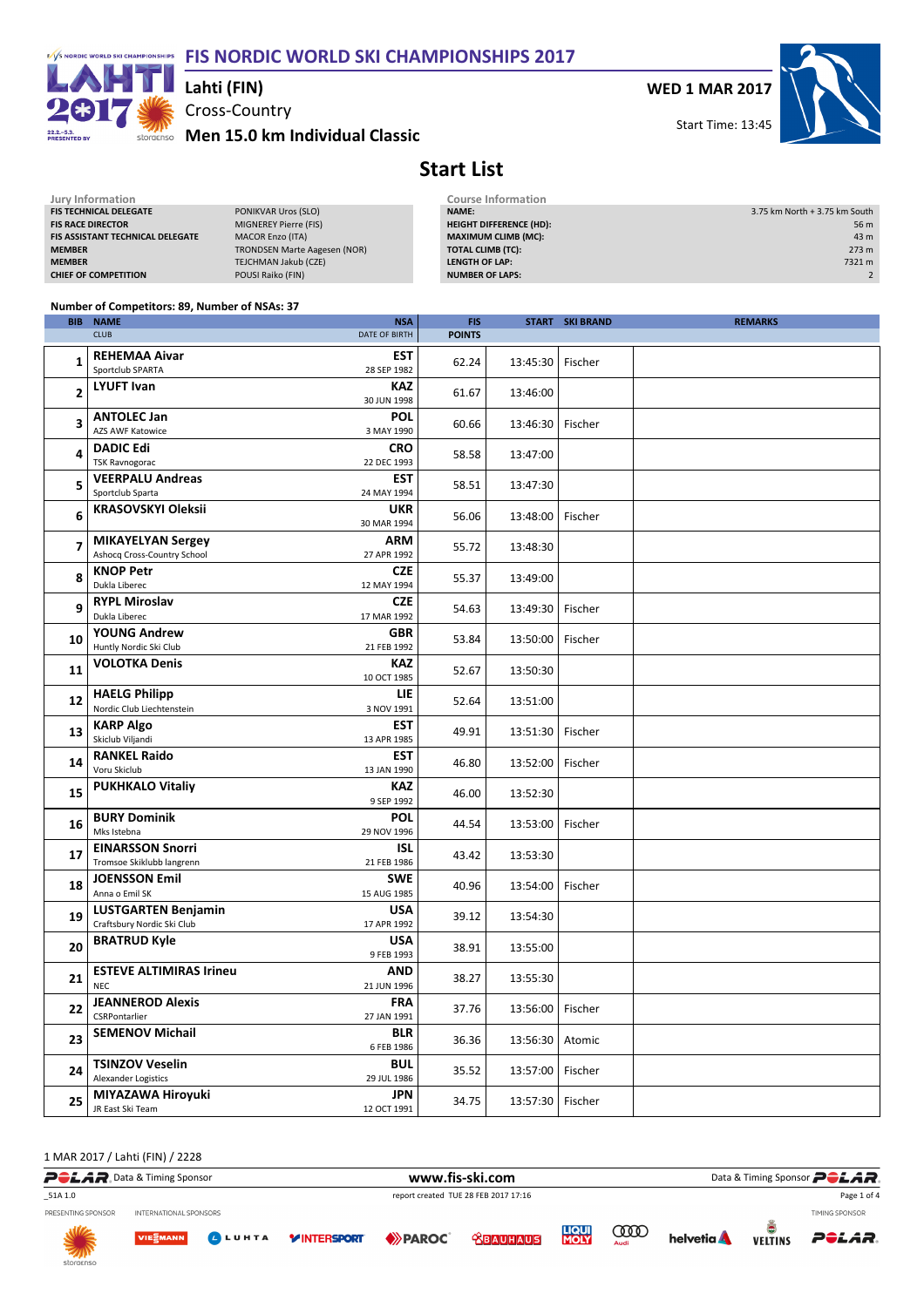### F/S NORDIC WORLD SKI CHAMPIONSHIPS FIS NORDIC WORLD SKI CHAMPIONSHIPS 2017



### Cross-Country Lahti (FIN)

storaenso Men 15.0 km Individual Classic

WED 1 MAR 2017



## Start List

| Jury Information                        |                              | <b>Course Information</b>      |                               |
|-----------------------------------------|------------------------------|--------------------------------|-------------------------------|
| <b>FIS TECHNICAL DELEGATE</b>           | PONIKVAR Uros (SLO)          | <b>NAME:</b>                   | 3.75 km North + 3.75 km South |
| <b>FIS RACE DIRECTOR</b>                | MIGNEREY Pierre (FIS)        | <b>HEIGHT DIFFERENCE (HD):</b> | 56 m                          |
| <b>FIS ASSISTANT TECHNICAL DELEGATE</b> | <b>MACOR Enzo (ITA)</b>      | <b>MAXIMUM CLIMB (MC):</b>     | 43 m                          |
| <b>MEMBER</b>                           | TRONDSEN Marte Aagesen (NOR) | <b>TOTAL CLIMB (TC):</b>       | 273 m                         |
| <b>MEMBER</b>                           | TEJCHMAN Jakub (CZE)         | LENGTH OF LAP:                 | 7321 m                        |
| <b>CHIEF OF COMPETITION</b>             | POUSI Raiko (FIN)            | <b>NUMBER OF LAPS:</b>         |                               |
|                                         |                              |                                |                               |

#### Number of Competitors: 89, Number of NSAs: 37

|              | <b>BIB NAME</b>                                          | <b>NSA</b>                | <b>FIS</b>    |          | <b>START SKI BRAND</b> | <b>REMARKS</b> |
|--------------|----------------------------------------------------------|---------------------------|---------------|----------|------------------------|----------------|
|              | <b>CLUB</b>                                              | DATE OF BIRTH             | <b>POINTS</b> |          |                        |                |
| 1            | <b>REHEMAA Aivar</b><br>Sportclub SPARTA                 | <b>EST</b><br>28 SEP 1982 | 62.24         | 13:45:30 | Fischer                |                |
| $\mathbf{2}$ | <b>LYUFT Ivan</b>                                        | <b>KAZ</b><br>30 JUN 1998 | 61.67         | 13:46:00 |                        |                |
| 3            | <b>ANTOLEC Jan</b><br><b>AZS AWF Katowice</b>            | POL<br>3 MAY 1990         | 60.66         | 13:46:30 | Fischer                |                |
| 4            | <b>DADIC Edi</b><br><b>TSK Ravnogorac</b>                | <b>CRO</b><br>22 DEC 1993 | 58.58         | 13:47:00 |                        |                |
| 5            | <b>VEERPALU Andreas</b><br>Sportclub Sparta              | <b>EST</b><br>24 MAY 1994 | 58.51         | 13:47:30 |                        |                |
| 6            | <b>KRASOVSKYI Oleksii</b>                                | <b>UKR</b><br>30 MAR 1994 | 56.06         | 13:48:00 | Fischer                |                |
| 7            | <b>MIKAYELYAN Sergey</b><br>Ashocq Cross-Country School  | <b>ARM</b><br>27 APR 1992 | 55.72         | 13:48:30 |                        |                |
| 8            | <b>KNOP Petr</b><br>Dukla Liberec                        | <b>CZE</b><br>12 MAY 1994 | 55.37         | 13:49:00 |                        |                |
| 9            | <b>RYPL Miroslav</b><br>Dukla Liberec                    | <b>CZE</b><br>17 MAR 1992 | 54.63         | 13:49:30 | Fischer                |                |
| 10           | <b>YOUNG Andrew</b><br>Huntly Nordic Ski Club            | <b>GBR</b><br>21 FEB 1992 | 53.84         | 13:50:00 | Fischer                |                |
| 11           | <b>VOLOTKA Denis</b>                                     | <b>KAZ</b><br>10 OCT 1985 | 52.67         | 13:50:30 |                        |                |
| 12           | <b>HAELG Philipp</b><br>Nordic Club Liechtenstein        | LIE<br>3 NOV 1991         | 52.64         | 13:51:00 |                        |                |
| 13           | <b>KARP Algo</b><br>Skiclub Viljandi                     | <b>EST</b><br>13 APR 1985 | 49.91         | 13:51:30 | Fischer                |                |
| 14           | <b>RANKEL Raido</b><br>Voru Skiclub                      | <b>EST</b><br>13 JAN 1990 | 46.80         | 13:52:00 | Fischer                |                |
| 15           | <b>PUKHKALO Vitaliy</b>                                  | <b>KAZ</b><br>9 SEP 1992  | 46.00         | 13:52:30 |                        |                |
| 16           | <b>BURY Dominik</b><br>Mks Istebna                       | POL<br>29 NOV 1996        | 44.54         | 13:53:00 | Fischer                |                |
| 17           | <b>EINARSSON Snorri</b><br>Tromsoe Skiklubb langrenn     | <b>ISL</b><br>21 FEB 1986 | 43.42         | 13:53:30 |                        |                |
| 18           | <b>JOENSSON Emil</b><br>Anna o Emil SK                   | <b>SWE</b><br>15 AUG 1985 | 40.96         | 13:54:00 | Fischer                |                |
| 19           | <b>LUSTGARTEN Benjamin</b><br>Craftsbury Nordic Ski Club | <b>USA</b><br>17 APR 1992 | 39.12         | 13:54:30 |                        |                |
| 20           | <b>BRATRUD Kyle</b>                                      | <b>USA</b><br>9 FEB 1993  | 38.91         | 13:55:00 |                        |                |
| 21           | <b>ESTEVE ALTIMIRAS Irineu</b><br><b>NEC</b>             | <b>AND</b><br>21 JUN 1996 | 38.27         | 13:55:30 |                        |                |
| 22           | <b>JEANNEROD Alexis</b><br>CSRPontarlier                 | <b>FRA</b><br>27 JAN 1991 | 37.76         | 13:56:00 | Fischer                |                |
| 23           | <b>SEMENOV Michail</b>                                   | <b>BLR</b><br>6 FEB 1986  | 36.36         | 13:56:30 | Atomic                 |                |
| 24           | <b>TSINZOV Veselin</b><br>Alexander Logistics            | <b>BUL</b><br>29 JUL 1986 | 35.52         | 13:57:00 | Fischer                |                |
| 25           | MIYAZAWA Hiroyuki<br>JR East Ski Team                    | <b>JPN</b><br>12 OCT 1991 | 34.75         | 13:57:30 | Fischer                |                |

1 MAR 2017 / Lahti (FIN) / 2228

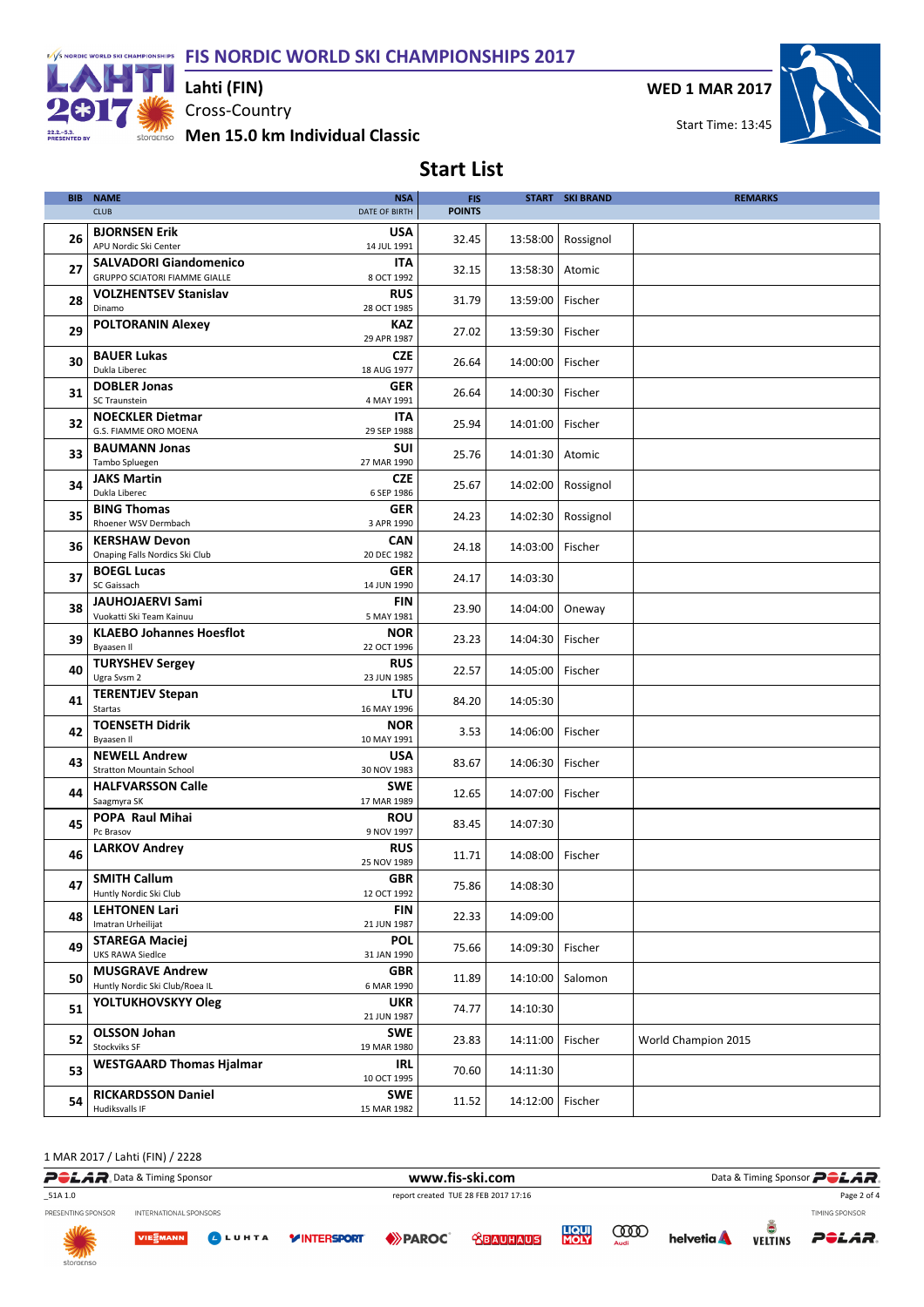

Lahti (FIN)

WED 1 MAR 2017



Cross-Country **Men 15.0 km Individual Classic** 

## Start List

| <b>BIB</b> | <b>NAME</b>                                                           | <b>NSA</b>                | <b>FIS</b>    |          | <b>START SKI BRAND</b> | <b>REMARKS</b>      |
|------------|-----------------------------------------------------------------------|---------------------------|---------------|----------|------------------------|---------------------|
|            | <b>CLUB</b>                                                           | DATE OF BIRTH             | <b>POINTS</b> |          |                        |                     |
| 26         | <b>BJORNSEN Erik</b><br>APU Nordic Ski Center                         | <b>USA</b><br>14 JUL 1991 | 32.45         | 13:58:00 | Rossignol              |                     |
| 27         | <b>SALVADORI Giandomenico</b><br><b>GRUPPO SCIATORI FIAMME GIALLE</b> | <b>ITA</b><br>8 OCT 1992  | 32.15         | 13:58:30 | Atomic                 |                     |
| 28         | <b>VOLZHENTSEV Stanislav</b><br>Dinamo                                | <b>RUS</b><br>28 OCT 1985 | 31.79         | 13:59:00 | Fischer                |                     |
| 29         | <b>POLTORANIN Alexey</b>                                              | <b>KAZ</b><br>29 APR 1987 | 27.02         | 13:59:30 | Fischer                |                     |
| 30         | <b>BAUER Lukas</b><br>Dukla Liberec                                   | <b>CZE</b><br>18 AUG 1977 | 26.64         | 14:00:00 | Fischer                |                     |
| 31         | <b>DOBLER Jonas</b><br><b>SC Traunstein</b>                           | <b>GER</b><br>4 MAY 1991  | 26.64         | 14:00:30 | Fischer                |                     |
| 32         | <b>NOECKLER Dietmar</b><br>G.S. FIAMME ORO MOENA                      | <b>ITA</b><br>29 SEP 1988 | 25.94         | 14:01:00 | Fischer                |                     |
| 33         | <b>BAUMANN Jonas</b><br>Tambo Spluegen                                | SUI<br>27 MAR 1990        | 25.76         | 14:01:30 | Atomic                 |                     |
| 34         | <b>JAKS Martin</b><br>Dukla Liberec                                   | <b>CZE</b><br>6 SEP 1986  | 25.67         | 14:02:00 | Rossignol              |                     |
| 35         | <b>BING Thomas</b><br>Rhoener WSV Dermbach                            | <b>GER</b><br>3 APR 1990  | 24.23         | 14:02:30 | Rossignol              |                     |
| 36         | <b>KERSHAW Devon</b><br>Onaping Falls Nordics Ski Club                | <b>CAN</b><br>20 DEC 1982 | 24.18         | 14:03:00 | Fischer                |                     |
| 37         | <b>BOEGL Lucas</b><br>SC Gaissach                                     | <b>GER</b><br>14 JUN 1990 | 24.17         | 14:03:30 |                        |                     |
| 38         | <b>JAUHOJAERVI Sami</b><br>Vuokatti Ski Team Kainuu                   | FIN<br>5 MAY 1981         | 23.90         | 14:04:00 | Oneway                 |                     |
| 39         | <b>KLAEBO Johannes Hoesflot</b><br>Byaasen II                         | <b>NOR</b><br>22 OCT 1996 | 23.23         | 14:04:30 | Fischer                |                     |
| 40         | <b>TURYSHEV Sergey</b><br>Ugra Svsm 2                                 | <b>RUS</b><br>23 JUN 1985 | 22.57         | 14:05:00 | Fischer                |                     |
| 41         | <b>TERENTJEV Stepan</b><br>Startas                                    | <b>LTU</b><br>16 MAY 1996 | 84.20         | 14:05:30 |                        |                     |
| 42         | <b>TOENSETH Didrik</b><br>Byaasen II                                  | <b>NOR</b><br>10 MAY 1991 | 3.53          | 14:06:00 | Fischer                |                     |
| 43         | <b>NEWELL Andrew</b><br><b>Stratton Mountain School</b>               | <b>USA</b><br>30 NOV 1983 | 83.67         | 14:06:30 | Fischer                |                     |
| 44         | <b>HALFVARSSON Calle</b><br>Saagmyra SK                               | <b>SWE</b><br>17 MAR 1989 | 12.65         | 14:07:00 | Fischer                |                     |
| 45         | POPA Raul Mihai<br>Pc Brasov                                          | <b>ROU</b><br>9 NOV 1997  | 83.45         | 14:07:30 |                        |                     |
| 46         | <b>LARKOV Andrey</b>                                                  | <b>RUS</b><br>25 NOV 1989 | 11.71         | 14:08:00 | Fischer                |                     |
| 47         | <b>SMITH Callum</b><br>Huntly Nordic Ski Club                         | GBR<br>12 OCT 1992        | 75.86         | 14:08:30 |                        |                     |
| 48         | <b>LEHTONEN Lari</b><br>Imatran Urheilijat                            | FIN<br>21 JUN 1987        | 22.33         | 14:09:00 |                        |                     |
| 49         | <b>STAREGA Maciej</b><br><b>UKS RAWA Siedlce</b>                      | <b>POL</b><br>31 JAN 1990 | 75.66         | 14:09:30 | Fischer                |                     |
| 50         | <b>MUSGRAVE Andrew</b><br>Huntly Nordic Ski Club/Roea IL              | <b>GBR</b><br>6 MAR 1990  | 11.89         | 14:10:00 | Salomon                |                     |
| 51         | YOLTUKHOVSKYY Oleg                                                    | <b>UKR</b><br>21 JUN 1987 | 74.77         | 14:10:30 |                        |                     |
| 52         | <b>OLSSON Johan</b><br>Stockviks SF                                   | <b>SWE</b><br>19 MAR 1980 | 23.83         | 14:11:00 | Fischer                | World Champion 2015 |
| 53         | <b>WESTGAARD Thomas Hjalmar</b>                                       | IRL<br>10 OCT 1995        | 70.60         | 14:11:30 |                        |                     |
| 54         | <b>RICKARDSSON Daniel</b><br>Hudiksvalls IF                           | <b>SWE</b><br>15 MAR 1982 | 11.52         | 14:12:00 | Fischer                |                     |

1 MAR 2017 / Lahti (FIN) / 2228

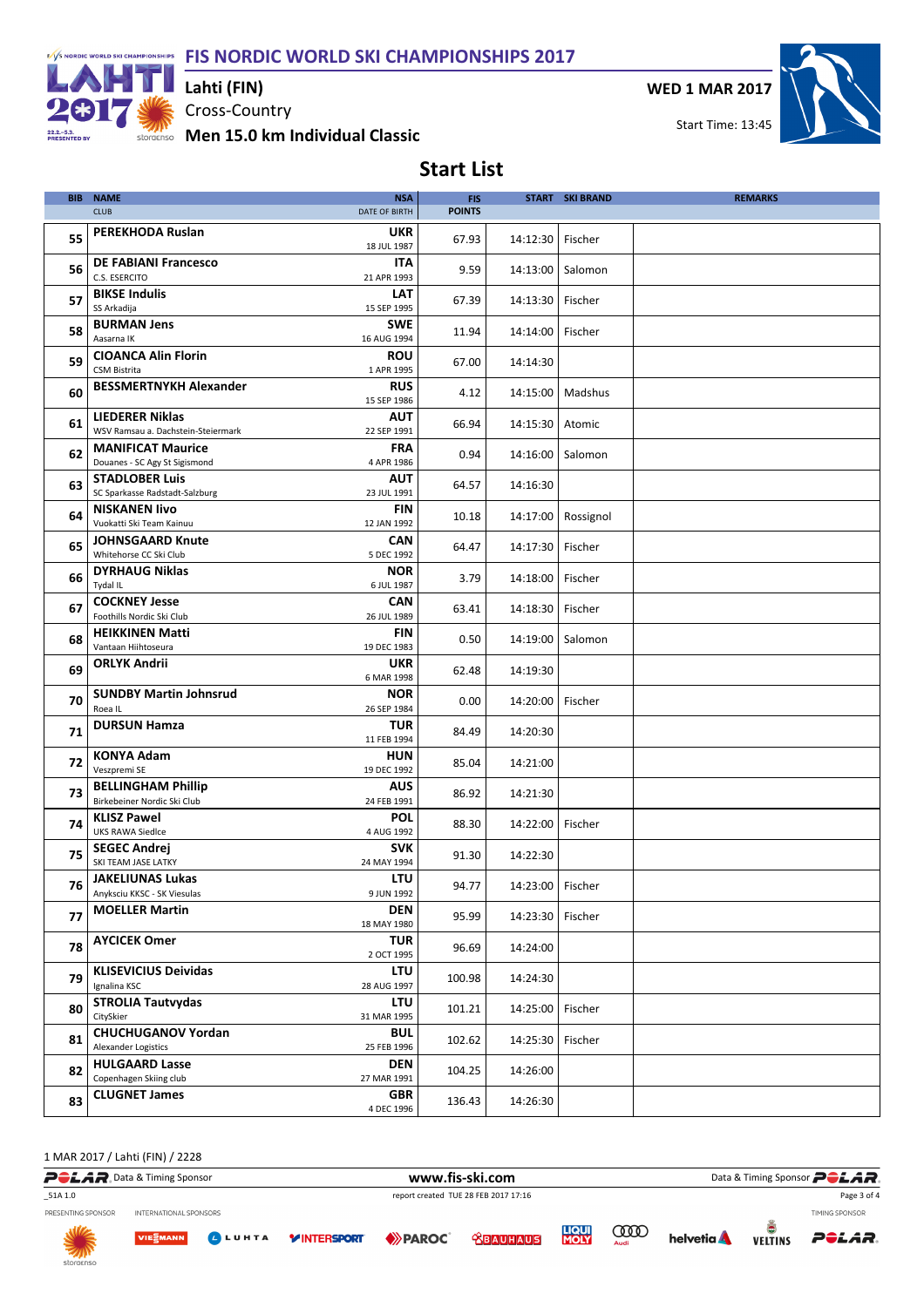

Cross-Country Lahti (FIN)

Men 15.0 km Individual Classic

WED 1 MAR 2017



# Start List

| <b>BIB</b> | <b>NAME</b>                                                                    | <b>NSA</b>                              | <b>FIS</b>    |                    | <b>START SKI BRAND</b> | <b>REMARKS</b> |
|------------|--------------------------------------------------------------------------------|-----------------------------------------|---------------|--------------------|------------------------|----------------|
|            | <b>CLUB</b>                                                                    | DATE OF BIRTH                           | <b>POINTS</b> |                    |                        |                |
| 55         | PEREKHODA Ruslan                                                               | <b>UKR</b><br>18 JUL 1987               | 67.93         | 14:12:30           | Fischer                |                |
| 56         | <b>DE FABIANI Francesco</b><br>C.S. ESERCITO                                   | ITA<br>21 APR 1993                      | 9.59          | 14:13:00           | Salomon                |                |
| 57         | <b>BIKSE Indulis</b><br>SS Arkadija                                            | LAT<br>15 SEP 1995                      | 67.39         | 14:13:30           | Fischer                |                |
| 58         | <b>BURMAN Jens</b><br>Aasarna IK                                               | <b>SWE</b><br>16 AUG 1994               | 11.94         | 14:14:00           | Fischer                |                |
| 59         | <b>CIOANCA Alin Florin</b><br><b>CSM Bistrita</b>                              | <b>ROU</b><br>1 APR 1995                | 67.00         | 14:14:30           |                        |                |
| 60         | <b>BESSMERTNYKH Alexander</b>                                                  | <b>RUS</b><br>15 SEP 1986               | 4.12          | 14:15:00           | Madshus                |                |
| 61         | <b>LIEDERER Niklas</b><br>WSV Ramsau a. Dachstein-Steiermark                   | <b>AUT</b><br>22 SEP 1991               | 66.94         | 14:15:30           | Atomic                 |                |
| 62         | <b>MANIFICAT Maurice</b><br>Douanes - SC Agy St Sigismond                      | <b>FRA</b><br>4 APR 1986                | 0.94          | 14:16:00           | Salomon                |                |
| 63         | <b>STADLOBER Luis</b><br>SC Sparkasse Radstadt-Salzburg                        | <b>AUT</b><br>23 JUL 1991               | 64.57         | 14:16:30           |                        |                |
| 64         | <b>NISKANEN livo</b><br>Vuokatti Ski Team Kainuu                               | FIN<br>12 JAN 1992                      | 10.18         | 14:17:00           | Rossignol              |                |
| 65         | <b>JOHNSGAARD Knute</b><br>Whitehorse CC Ski Club                              | <b>CAN</b><br>5 DEC 1992                | 64.47         | 14:17:30           | Fischer                |                |
| 66         | <b>DYRHAUG Niklas</b><br>Tydal IL                                              | <b>NOR</b><br>6 JUL 1987                | 3.79          | 14:18:00           | Fischer                |                |
| 67         | <b>COCKNEY Jesse</b><br>Foothills Nordic Ski Club                              | <b>CAN</b><br>26 JUL 1989               | 63.41         | 14:18:30           | Fischer                |                |
| 68         | <b>HEIKKINEN Matti</b><br>Vantaan Hiihtoseura                                  | <b>FIN</b><br>19 DEC 1983               | 0.50          | 14:19:00           | Salomon                |                |
| 69         | <b>ORLYK Andrii</b>                                                            | <b>UKR</b><br>6 MAR 1998                | 62.48         | 14:19:30           |                        |                |
| 70         | <b>SUNDBY Martin Johnsrud</b><br>Roea IL                                       | <b>NOR</b><br>26 SEP 1984               | 0.00          | 14:20:00           | Fischer                |                |
| 71         | <b>DURSUN Hamza</b>                                                            | <b>TUR</b><br>11 FEB 1994               | 84.49         | 14:20:30           |                        |                |
| 72         | <b>KONYA Adam</b><br>Veszpremi SE                                              | <b>HUN</b><br>19 DEC 1992               | 85.04         | 14:21:00           |                        |                |
| 73         | <b>BELLINGHAM Phillip</b><br>Birkebeiner Nordic Ski Club<br><b>KLISZ Pawel</b> | <b>AUS</b><br>24 FEB 1991<br><b>POL</b> | 86.92         | 14:21:30           |                        |                |
| 74         | <b>UKS RAWA Siedlce</b><br><b>SEGEC Andrej</b>                                 | 4 AUG 1992<br><b>SVK</b>                | 88.30         | 14:22:00           | Fischer                |                |
| 75         | SKI TEAM JASE LATKY<br><b>JAKELIUNAS Lukas</b>                                 | 24 MAY 1994<br>LTU                      | 91.30         | 14:22:30           |                        |                |
| 76         | Anyksciu KKSC - SK Viesulas<br><b>MOELLER Martin</b>                           | 9 JUN 1992<br><b>DEN</b>                | 94.77         | 14:23:00   Fischer |                        |                |
| 77         | <b>AYCICEK Omer</b>                                                            | 18 MAY 1980<br><b>TUR</b>               | 95.99         | 14:23:30           | Fischer                |                |
| 78         | <b>KLISEVICIUS Deividas</b>                                                    | 2 OCT 1995<br><b>LTU</b>                | 96.69         | 14:24:00           |                        |                |
| 79         | Ignalina KSC<br><b>STROLIA Tautvydas</b>                                       | 28 AUG 1997<br>LTU                      | 100.98        | 14:24:30           |                        |                |
| 80         | CitySkier<br><b>CHUCHUGANOV Yordan</b>                                         | 31 MAR 1995<br><b>BUL</b>               | 101.21        | 14:25:00           | Fischer                |                |
| 81         | Alexander Logistics<br><b>HULGAARD Lasse</b>                                   | 25 FEB 1996<br><b>DEN</b>               | 102.62        | 14:25:30           | Fischer                |                |
| 82         | Copenhagen Skiing club<br><b>CLUGNET James</b>                                 | 27 MAR 1991<br><b>GBR</b>               | 104.25        | 14:26:00           |                        |                |
| 83         |                                                                                | 4 DEC 1996                              | 136.43        | 14:26:30           |                        |                |

1 MAR 2017 / Lahti (FIN) / 2228